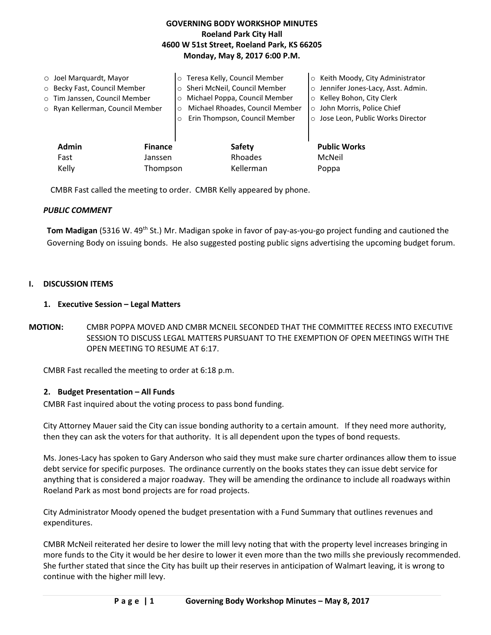# **GOVERNING BODY WORKSHOP MINUTES Roeland Park City Hall 4600 W 51st Street, Roeland Park, KS 66205 Monday, May 8, 2017 6:00 P.M.**

|                                | $\circ$ Joel Marquardt, Mayor    | $\circ$ | Teresa Kelly, Council Member    |  | ○ Keith Moody, City Administrator   |  |
|--------------------------------|----------------------------------|---------|---------------------------------|--|-------------------------------------|--|
|                                | O Becky Fast, Council Member     | $\circ$ | Sheri McNeil, Council Member    |  | o Jennifer Jones-Lacy, Asst. Admin. |  |
|                                | o Tim Janssen, Council Member    | $\circ$ | Michael Poppa, Council Member   |  | o Kelley Bohon, City Clerk          |  |
|                                | o Ryan Kellerman, Council Member |         | Michael Rhoades, Council Member |  | o John Morris, Police Chief         |  |
|                                |                                  |         | Erin Thompson, Council Member   |  | o Jose Leon, Public Works Director  |  |
|                                |                                  |         |                                 |  |                                     |  |
| <b>Admin</b><br><b>Finance</b> |                                  |         | Safety                          |  | <b>Public Works</b>                 |  |
|                                | Fast<br>Janssen                  |         | Rhoades                         |  | McNeil                              |  |
| Kelly<br>Thompson              |                                  |         | Kellerman                       |  | Poppa                               |  |

CMBR Fast called the meeting to order. CMBR Kelly appeared by phone.

### *PUBLIC COMMENT*

Tom Madigan (5316 W. 49<sup>th</sup> St.) Mr. Madigan spoke in favor of pay-as-you-go project funding and cautioned the Governing Body on issuing bonds. He also suggested posting public signs advertising the upcoming budget forum.

### **I. DISCUSSION ITEMS**

### **1. Executive Session – Legal Matters**

**MOTION:** CMBR POPPA MOVED AND CMBR MCNEIL SECONDED THAT THE COMMITTEE RECESS INTO EXECUTIVE SESSION TO DISCUSS LEGAL MATTERS PURSUANT TO THE EXEMPTION OF OPEN MEETINGS WITH THE OPEN MEETING TO RESUME AT 6:17.

CMBR Fast recalled the meeting to order at 6:18 p.m.

### **2. Budget Presentation – All Funds**

CMBR Fast inquired about the voting process to pass bond funding.

City Attorney Mauer said the City can issue bonding authority to a certain amount. If they need more authority, then they can ask the voters for that authority. It is all dependent upon the types of bond requests.

Ms. Jones-Lacy has spoken to Gary Anderson who said they must make sure charter ordinances allow them to issue debt service for specific purposes. The ordinance currently on the books states they can issue debt service for anything that is considered a major roadway. They will be amending the ordinance to include all roadways within Roeland Park as most bond projects are for road projects.

City Administrator Moody opened the budget presentation with a Fund Summary that outlines revenues and expenditures.

CMBR McNeil reiterated her desire to lower the mill levy noting that with the property level increases bringing in more funds to the City it would be her desire to lower it even more than the two mills she previously recommended. She further stated that since the City has built up their reserves in anticipation of Walmart leaving, it is wrong to continue with the higher mill levy.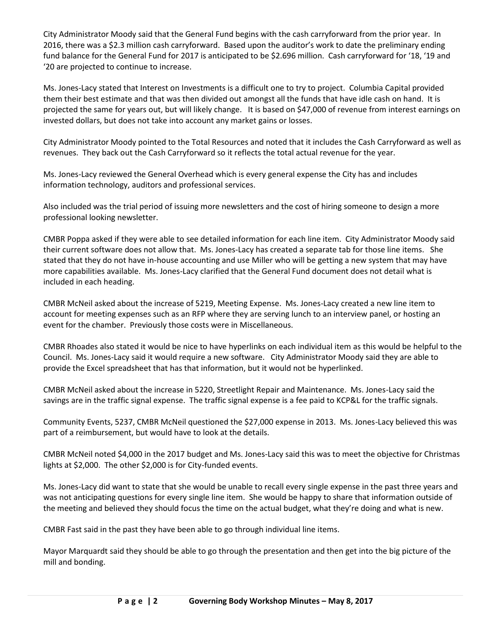City Administrator Moody said that the General Fund begins with the cash carryforward from the prior year. In 2016, there was a \$2.3 million cash carryforward. Based upon the auditor's work to date the preliminary ending fund balance for the General Fund for 2017 is anticipated to be \$2.696 million. Cash carryforward for '18, '19 and '20 are projected to continue to increase.

Ms. Jones-Lacy stated that Interest on Investments is a difficult one to try to project. Columbia Capital provided them their best estimate and that was then divided out amongst all the funds that have idle cash on hand. It is projected the same for years out, but will likely change. It is based on \$47,000 of revenue from interest earnings on invested dollars, but does not take into account any market gains or losses.

City Administrator Moody pointed to the Total Resources and noted that it includes the Cash Carryforward as well as revenues. They back out the Cash Carryforward so it reflects the total actual revenue for the year.

Ms. Jones-Lacy reviewed the General Overhead which is every general expense the City has and includes information technology, auditors and professional services.

Also included was the trial period of issuing more newsletters and the cost of hiring someone to design a more professional looking newsletter.

CMBR Poppa asked if they were able to see detailed information for each line item. City Administrator Moody said their current software does not allow that. Ms. Jones-Lacy has created a separate tab for those line items. She stated that they do not have in-house accounting and use Miller who will be getting a new system that may have more capabilities available. Ms. Jones-Lacy clarified that the General Fund document does not detail what is included in each heading.

CMBR McNeil asked about the increase of 5219, Meeting Expense. Ms. Jones-Lacy created a new line item to account for meeting expenses such as an RFP where they are serving lunch to an interview panel, or hosting an event for the chamber. Previously those costs were in Miscellaneous.

CMBR Rhoades also stated it would be nice to have hyperlinks on each individual item as this would be helpful to the Council. Ms. Jones-Lacy said it would require a new software. City Administrator Moody said they are able to provide the Excel spreadsheet that has that information, but it would not be hyperlinked.

CMBR McNeil asked about the increase in 5220, Streetlight Repair and Maintenance. Ms. Jones-Lacy said the savings are in the traffic signal expense. The traffic signal expense is a fee paid to KCP&L for the traffic signals.

Community Events, 5237, CMBR McNeil questioned the \$27,000 expense in 2013. Ms. Jones-Lacy believed this was part of a reimbursement, but would have to look at the details.

CMBR McNeil noted \$4,000 in the 2017 budget and Ms. Jones-Lacy said this was to meet the objective for Christmas lights at \$2,000. The other \$2,000 is for City-funded events.

Ms. Jones-Lacy did want to state that she would be unable to recall every single expense in the past three years and was not anticipating questions for every single line item. She would be happy to share that information outside of the meeting and believed they should focus the time on the actual budget, what they're doing and what is new.

CMBR Fast said in the past they have been able to go through individual line items.

Mayor Marquardt said they should be able to go through the presentation and then get into the big picture of the mill and bonding.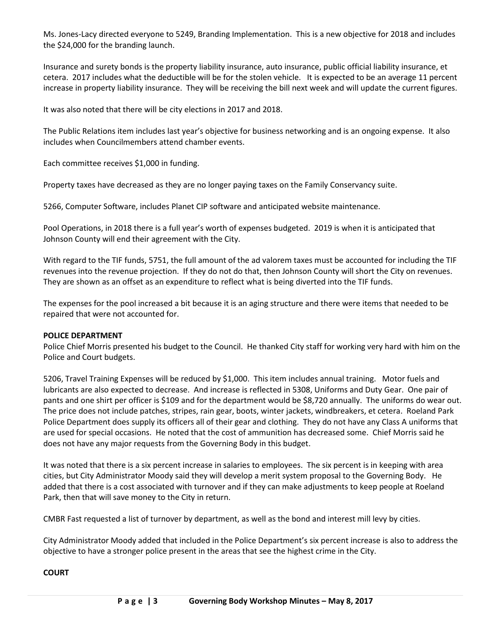Ms. Jones-Lacy directed everyone to 5249, Branding Implementation. This is a new objective for 2018 and includes the \$24,000 for the branding launch.

Insurance and surety bonds is the property liability insurance, auto insurance, public official liability insurance, et cetera. 2017 includes what the deductible will be for the stolen vehicle. It is expected to be an average 11 percent increase in property liability insurance. They will be receiving the bill next week and will update the current figures.

It was also noted that there will be city elections in 2017 and 2018.

The Public Relations item includes last year's objective for business networking and is an ongoing expense. It also includes when Councilmembers attend chamber events.

Each committee receives \$1,000 in funding.

Property taxes have decreased as they are no longer paying taxes on the Family Conservancy suite.

5266, Computer Software, includes Planet CIP software and anticipated website maintenance.

Pool Operations, in 2018 there is a full year's worth of expenses budgeted. 2019 is when it is anticipated that Johnson County will end their agreement with the City.

With regard to the TIF funds, 5751, the full amount of the ad valorem taxes must be accounted for including the TIF revenues into the revenue projection. If they do not do that, then Johnson County will short the City on revenues. They are shown as an offset as an expenditure to reflect what is being diverted into the TIF funds.

The expenses for the pool increased a bit because it is an aging structure and there were items that needed to be repaired that were not accounted for.

### **POLICE DEPARTMENT**

Police Chief Morris presented his budget to the Council. He thanked City staff for working very hard with him on the Police and Court budgets.

5206, Travel Training Expenses will be reduced by \$1,000. This item includes annual training. Motor fuels and lubricants are also expected to decrease. And increase is reflected in 5308, Uniforms and Duty Gear. One pair of pants and one shirt per officer is \$109 and for the department would be \$8,720 annually. The uniforms do wear out. The price does not include patches, stripes, rain gear, boots, winter jackets, windbreakers, et cetera. Roeland Park Police Department does supply its officers all of their gear and clothing. They do not have any Class A uniforms that are used for special occasions. He noted that the cost of ammunition has decreased some. Chief Morris said he does not have any major requests from the Governing Body in this budget.

It was noted that there is a six percent increase in salaries to employees. The six percent is in keeping with area cities, but City Administrator Moody said they will develop a merit system proposal to the Governing Body. He added that there is a cost associated with turnover and if they can make adjustments to keep people at Roeland Park, then that will save money to the City in return.

CMBR Fast requested a list of turnover by department, as well as the bond and interest mill levy by cities.

City Administrator Moody added that included in the Police Department's six percent increase is also to address the objective to have a stronger police present in the areas that see the highest crime in the City.

## **COURT**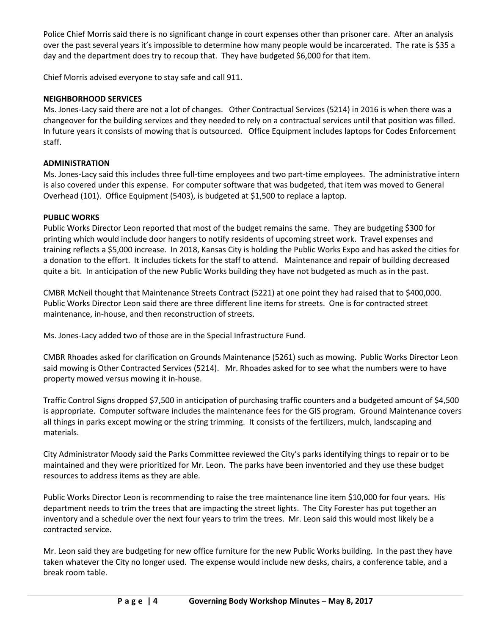Police Chief Morris said there is no significant change in court expenses other than prisoner care. After an analysis over the past several years it's impossible to determine how many people would be incarcerated. The rate is \$35 a day and the department does try to recoup that. They have budgeted \$6,000 for that item.

Chief Morris advised everyone to stay safe and call 911.

# **NEIGHBORHOOD SERVICES**

Ms. Jones-Lacy said there are not a lot of changes. Other Contractual Services (5214) in 2016 is when there was a changeover for the building services and they needed to rely on a contractual services until that position was filled. In future years it consists of mowing that is outsourced. Office Equipment includes laptops for Codes Enforcement staff.

## **ADMINISTRATION**

Ms. Jones-Lacy said this includes three full-time employees and two part-time employees. The administrative intern is also covered under this expense. For computer software that was budgeted, that item was moved to General Overhead (101). Office Equipment (5403), is budgeted at \$1,500 to replace a laptop.

### **PUBLIC WORKS**

Public Works Director Leon reported that most of the budget remains the same. They are budgeting \$300 for printing which would include door hangers to notify residents of upcoming street work. Travel expenses and training reflects a \$5,000 increase. In 2018, Kansas City is holding the Public Works Expo and has asked the cities for a donation to the effort. It includes tickets for the staff to attend. Maintenance and repair of building decreased quite a bit. In anticipation of the new Public Works building they have not budgeted as much as in the past.

CMBR McNeil thought that Maintenance Streets Contract (5221) at one point they had raised that to \$400,000. Public Works Director Leon said there are three different line items for streets. One is for contracted street maintenance, in-house, and then reconstruction of streets.

Ms. Jones-Lacy added two of those are in the Special Infrastructure Fund.

CMBR Rhoades asked for clarification on Grounds Maintenance (5261) such as mowing. Public Works Director Leon said mowing is Other Contracted Services (5214). Mr. Rhoades asked for to see what the numbers were to have property mowed versus mowing it in-house.

Traffic Control Signs dropped \$7,500 in anticipation of purchasing traffic counters and a budgeted amount of \$4,500 is appropriate. Computer software includes the maintenance fees for the GIS program. Ground Maintenance covers all things in parks except mowing or the string trimming. It consists of the fertilizers, mulch, landscaping and materials.

City Administrator Moody said the Parks Committee reviewed the City's parks identifying things to repair or to be maintained and they were prioritized for Mr. Leon. The parks have been inventoried and they use these budget resources to address items as they are able.

Public Works Director Leon is recommending to raise the tree maintenance line item \$10,000 for four years. His department needs to trim the trees that are impacting the street lights. The City Forester has put together an inventory and a schedule over the next four years to trim the trees. Mr. Leon said this would most likely be a contracted service.

Mr. Leon said they are budgeting for new office furniture for the new Public Works building. In the past they have taken whatever the City no longer used. The expense would include new desks, chairs, a conference table, and a break room table.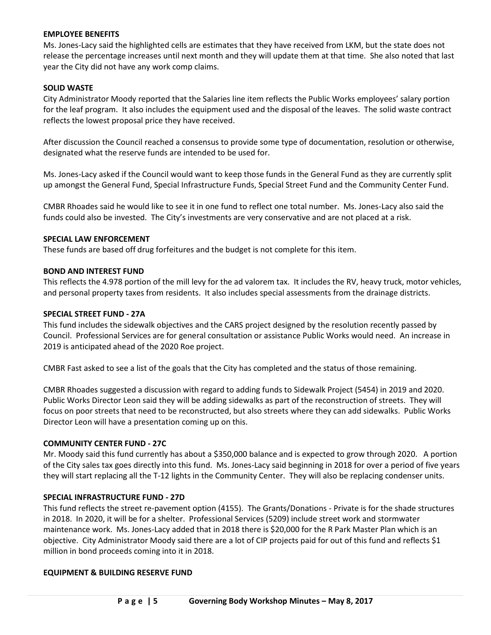### **EMPLOYEE BENEFITS**

Ms. Jones-Lacy said the highlighted cells are estimates that they have received from LKM, but the state does not release the percentage increases until next month and they will update them at that time. She also noted that last year the City did not have any work comp claims.

### **SOLID WASTE**

City Administrator Moody reported that the Salaries line item reflects the Public Works employees' salary portion for the leaf program. It also includes the equipment used and the disposal of the leaves. The solid waste contract reflects the lowest proposal price they have received.

After discussion the Council reached a consensus to provide some type of documentation, resolution or otherwise, designated what the reserve funds are intended to be used for.

Ms. Jones-Lacy asked if the Council would want to keep those funds in the General Fund as they are currently split up amongst the General Fund, Special Infrastructure Funds, Special Street Fund and the Community Center Fund.

CMBR Rhoades said he would like to see it in one fund to reflect one total number. Ms. Jones-Lacy also said the funds could also be invested. The City's investments are very conservative and are not placed at a risk.

### **SPECIAL LAW ENFORCEMENT**

These funds are based off drug forfeitures and the budget is not complete for this item.

### **BOND AND INTEREST FUND**

This reflects the 4.978 portion of the mill levy for the ad valorem tax. It includes the RV, heavy truck, motor vehicles, and personal property taxes from residents. It also includes special assessments from the drainage districts.

### **SPECIAL STREET FUND - 27A**

This fund includes the sidewalk objectives and the CARS project designed by the resolution recently passed by Council. Professional Services are for general consultation or assistance Public Works would need. An increase in 2019 is anticipated ahead of the 2020 Roe project.

CMBR Fast asked to see a list of the goals that the City has completed and the status of those remaining.

CMBR Rhoades suggested a discussion with regard to adding funds to Sidewalk Project (5454) in 2019 and 2020. Public Works Director Leon said they will be adding sidewalks as part of the reconstruction of streets. They will focus on poor streets that need to be reconstructed, but also streets where they can add sidewalks. Public Works Director Leon will have a presentation coming up on this.

#### **COMMUNITY CENTER FUND - 27C**

Mr. Moody said this fund currently has about a \$350,000 balance and is expected to grow through 2020. A portion of the City sales tax goes directly into this fund. Ms. Jones-Lacy said beginning in 2018 for over a period of five years they will start replacing all the T-12 lights in the Community Center. They will also be replacing condenser units.

#### **SPECIAL INFRASTRUCTURE FUND - 27D**

This fund reflects the street re-pavement option (4155). The Grants/Donations - Private is for the shade structures in 2018. In 2020, it will be for a shelter. Professional Services (5209) include street work and stormwater maintenance work. Ms. Jones-Lacy added that in 2018 there is \$20,000 for the R Park Master Plan which is an objective. City Administrator Moody said there are a lot of CIP projects paid for out of this fund and reflects \$1 million in bond proceeds coming into it in 2018.

#### **EQUIPMENT & BUILDING RESERVE FUND**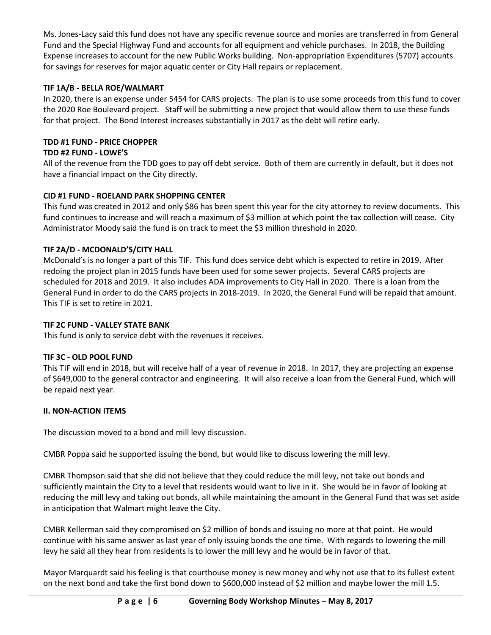Ms. Jones-Lacy said this fund does not have any specific revenue source and monies are transferred in from General Fund and the Special Highway Fund and accounts for all equipment and vehicle purchases. In 2018, the Building Expense increases to account for the new Public Works building. Non-appropriation Expenditures (5707) accounts for savings for reserves for major aquatic center or City Hall repairs or replacement.

# **TIF 1A/B - BELLA ROE/WALMART**

In 2020, there is an expense under 5454 for CARS projects. The plan is to use some proceeds from this fund to cover the 2020 Roe Boulevard project. Staff will be submitting a new project that would allow them to use these funds for that project. The Bond Interest increases substantially in 2017 as the debt will retire early.

# **TDD #1 FUND - PRICE CHOPPER**

# **TDD #2 FUND - LOWE'S**

All of the revenue from the TDD goes to pay off debt service. Both of them are currently in default, but it does not have a financial impact on the City directly.

# **CID #1 FUND - ROELAND PARK SHOPPING CENTER**

This fund was created in 2012 and only \$86 has been spent this year for the city attorney to review documents. This fund continues to increase and will reach a maximum of \$3 million at which point the tax collection will cease. City Administrator Moody said the fund is on track to meet the \$3 million threshold in 2020.

## **TIF 2A/D - MCDONALD'S/CITY HALL**

McDonald's is no longer a part of this TIF. This fund does service debt which is expected to retire in 2019. After redoing the project plan in 2015 funds have been used for some sewer projects. Several CARS projects are scheduled for 2018 and 2019. It also includes ADA improvements to City Hall in 2020. There is a loan from the General Fund in order to do the CARS projects in 2018-2019. In 2020, the General Fund will be repaid that amount. This TIF is set to retire in 2021.

## **TIF 2C FUND - VALLEY STATE BANK**

This fund is only to service debt with the revenues it receives.

## **TIF 3C - OLD POOL FUND**

This TIF will end in 2018, but will receive half of a year of revenue in 2018. In 2017, they are projecting an expense of \$649,000 to the general contractor and engineering. It will also receive a loan from the General Fund, which will be repaid next year.

## **II. NON-ACTION ITEMS**

The discussion moved to a bond and mill levy discussion.

CMBR Poppa said he supported issuing the bond, but would like to discuss lowering the mill levy.

CMBR Thompson said that she did not believe that they could reduce the mill levy, not take out bonds and sufficiently maintain the City to a level that residents would want to live in it. She would be in favor of looking at reducing the mill levy and taking out bonds, all while maintaining the amount in the General Fund that was set aside in anticipation that Walmart might leave the City.

CMBR Kellerman said they compromised on \$2 million of bonds and issuing no more at that point. He would continue with his same answer as last year of only issuing bonds the one time. With regards to lowering the mill levy he said all they hear from residents is to lower the mill levy and he would be in favor of that.

Mayor Marquardt said his feeling is that courthouse money is new money and why not use that to its fullest extent on the next bond and take the first bond down to \$600,000 instead of \$2 million and maybe lower the mill 1.5.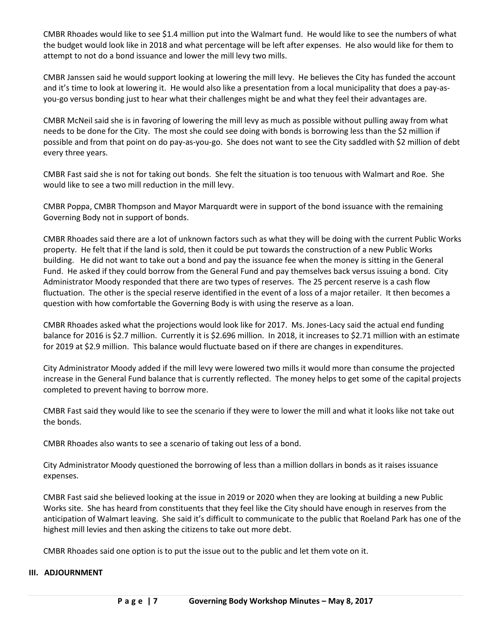CMBR Rhoades would like to see \$1.4 million put into the Walmart fund. He would like to see the numbers of what the budget would look like in 2018 and what percentage will be left after expenses. He also would like for them to attempt to not do a bond issuance and lower the mill levy two mills.

CMBR Janssen said he would support looking at lowering the mill levy. He believes the City has funded the account and it's time to look at lowering it. He would also like a presentation from a local municipality that does a pay-asyou-go versus bonding just to hear what their challenges might be and what they feel their advantages are.

CMBR McNeil said she is in favoring of lowering the mill levy as much as possible without pulling away from what needs to be done for the City. The most she could see doing with bonds is borrowing less than the \$2 million if possible and from that point on do pay-as-you-go. She does not want to see the City saddled with \$2 million of debt every three years.

CMBR Fast said she is not for taking out bonds. She felt the situation is too tenuous with Walmart and Roe. She would like to see a two mill reduction in the mill levy.

CMBR Poppa, CMBR Thompson and Mayor Marquardt were in support of the bond issuance with the remaining Governing Body not in support of bonds.

CMBR Rhoades said there are a lot of unknown factors such as what they will be doing with the current Public Works property. He felt that if the land is sold, then it could be put towards the construction of a new Public Works building. He did not want to take out a bond and pay the issuance fee when the money is sitting in the General Fund. He asked if they could borrow from the General Fund and pay themselves back versus issuing a bond. City Administrator Moody responded that there are two types of reserves. The 25 percent reserve is a cash flow fluctuation. The other is the special reserve identified in the event of a loss of a major retailer. It then becomes a question with how comfortable the Governing Body is with using the reserve as a loan.

CMBR Rhoades asked what the projections would look like for 2017. Ms. Jones-Lacy said the actual end funding balance for 2016 is \$2.7 million. Currently it is \$2.696 million. In 2018, it increases to \$2.71 million with an estimate for 2019 at \$2.9 million. This balance would fluctuate based on if there are changes in expenditures.

City Administrator Moody added if the mill levy were lowered two mills it would more than consume the projected increase in the General Fund balance that is currently reflected. The money helps to get some of the capital projects completed to prevent having to borrow more.

CMBR Fast said they would like to see the scenario if they were to lower the mill and what it looks like not take out the bonds.

CMBR Rhoades also wants to see a scenario of taking out less of a bond.

City Administrator Moody questioned the borrowing of less than a million dollars in bonds as it raises issuance expenses.

CMBR Fast said she believed looking at the issue in 2019 or 2020 when they are looking at building a new Public Works site. She has heard from constituents that they feel like the City should have enough in reserves from the anticipation of Walmart leaving. She said it's difficult to communicate to the public that Roeland Park has one of the highest mill levies and then asking the citizens to take out more debt.

CMBR Rhoades said one option is to put the issue out to the public and let them vote on it.

### **III. ADJOURNMENT**